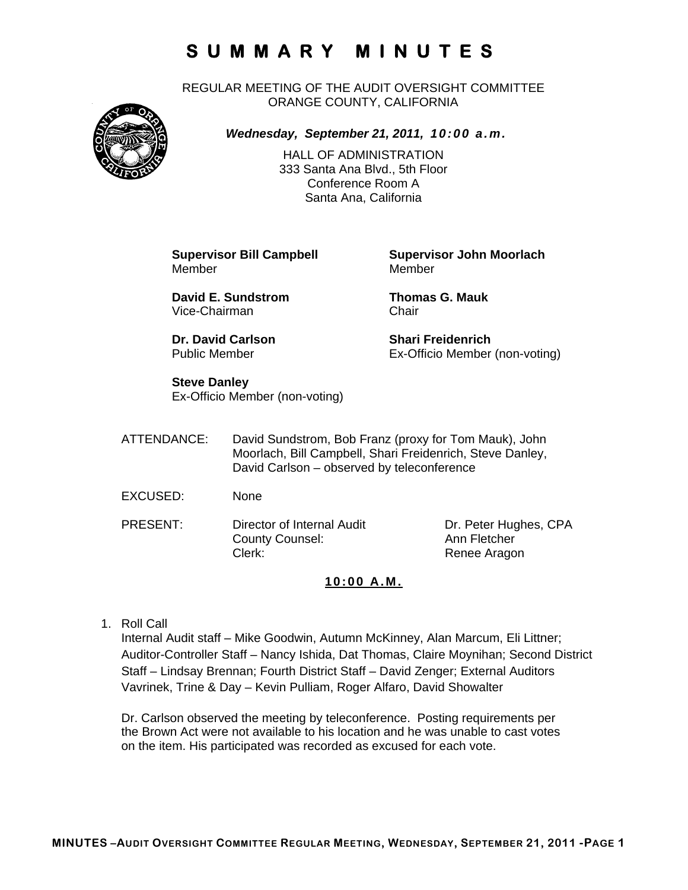REGULAR MEETING OF THE AUDIT OVERSIGHT COMMITTEE ORANGE COUNTY, CALIFORNIA



*Wednesday, September 21, 2011, 10:00 a.m.*

HALL OF ADMINISTRATION 333 Santa Ana Blvd., 5th Floor Conference Room A Santa Ana, California

Member Member

**David E. Sundstrom Thomas G. Mauk**  Vice-Chairman Chair

**Dr. David Carlson Shari Freidenrich** 

**Supervisor Bill Campbell Supervisor John Moorlach**

Public Member Ex-Officio Member (non-voting)

### **Steve Danley**

Ex-Officio Member (non-voting)

ATTENDANCE: David Sundstrom, Bob Franz (proxy for Tom Mauk), John Moorlach, Bill Campbell, Shari Freidenrich, Steve Danley, David Carlson – observed by teleconference

- EXCUSED: None
- PRESENT: Director of Internal Audit Dr. Peter Hughes, CPA County Counsel: Ann Fletcher Clerk: Clerk: Renee Aragon

### **10:00 A.M.**

1. Roll Call

Internal Audit staff – Mike Goodwin, Autumn McKinney, Alan Marcum, Eli Littner; Auditor-Controller Staff – Nancy Ishida, Dat Thomas, Claire Moynihan; Second District Staff – Lindsay Brennan; Fourth District Staff – David Zenger; External Auditors Vavrinek, Trine & Day – Kevin Pulliam, Roger Alfaro, David Showalter

Dr. Carlson observed the meeting by teleconference. Posting requirements per the Brown Act were not available to his location and he was unable to cast votes on the item. His participated was recorded as excused for each vote.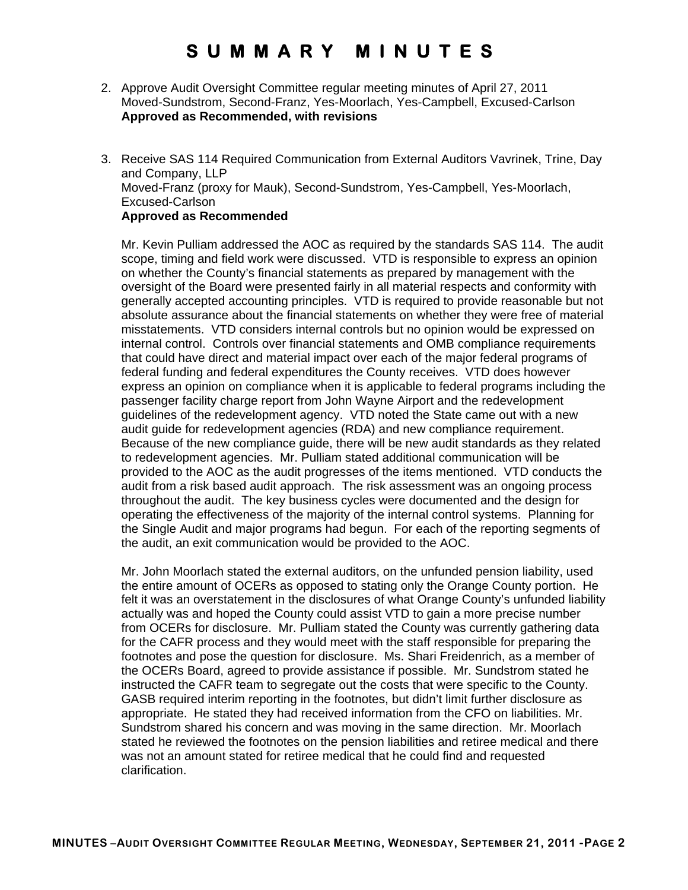- 2. Approve Audit Oversight Committee regular meeting minutes of April 27, 2011 Moved-Sundstrom, Second-Franz, Yes-Moorlach, Yes-Campbell, Excused-Carlson **Approved as Recommended, with revisions**
- 3. Receive SAS 114 Required Communication from External Auditors Vavrinek, Trine, Day and Company, LLP Moved-Franz (proxy for Mauk), Second-Sundstrom, Yes-Campbell, Yes-Moorlach, Excused-Carlson **Approved as Recommended**

Mr. Kevin Pulliam addressed the AOC as required by the standards SAS 114. The audit scope, timing and field work were discussed. VTD is responsible to express an opinion on whether the County's financial statements as prepared by management with the oversight of the Board were presented fairly in all material respects and conformity with generally accepted accounting principles. VTD is required to provide reasonable but not absolute assurance about the financial statements on whether they were free of material misstatements. VTD considers internal controls but no opinion would be expressed on internal control. Controls over financial statements and OMB compliance requirements that could have direct and material impact over each of the major federal programs of federal funding and federal expenditures the County receives. VTD does however express an opinion on compliance when it is applicable to federal programs including the passenger facility charge report from John Wayne Airport and the redevelopment guidelines of the redevelopment agency. VTD noted the State came out with a new audit guide for redevelopment agencies (RDA) and new compliance requirement. Because of the new compliance guide, there will be new audit standards as they related to redevelopment agencies. Mr. Pulliam stated additional communication will be provided to the AOC as the audit progresses of the items mentioned. VTD conducts the audit from a risk based audit approach. The risk assessment was an ongoing process throughout the audit. The key business cycles were documented and the design for operating the effectiveness of the majority of the internal control systems. Planning for the Single Audit and major programs had begun. For each of the reporting segments of the audit, an exit communication would be provided to the AOC.

Mr. John Moorlach stated the external auditors, on the unfunded pension liability, used the entire amount of OCERs as opposed to stating only the Orange County portion. He felt it was an overstatement in the disclosures of what Orange County's unfunded liability actually was and hoped the County could assist VTD to gain a more precise number from OCERs for disclosure. Mr. Pulliam stated the County was currently gathering data for the CAFR process and they would meet with the staff responsible for preparing the footnotes and pose the question for disclosure. Ms. Shari Freidenrich, as a member of the OCERs Board, agreed to provide assistance if possible. Mr. Sundstrom stated he instructed the CAFR team to segregate out the costs that were specific to the County. GASB required interim reporting in the footnotes, but didn't limit further disclosure as appropriate. He stated they had received information from the CFO on liabilities. Mr. Sundstrom shared his concern and was moving in the same direction. Mr. Moorlach stated he reviewed the footnotes on the pension liabilities and retiree medical and there was not an amount stated for retiree medical that he could find and requested clarification.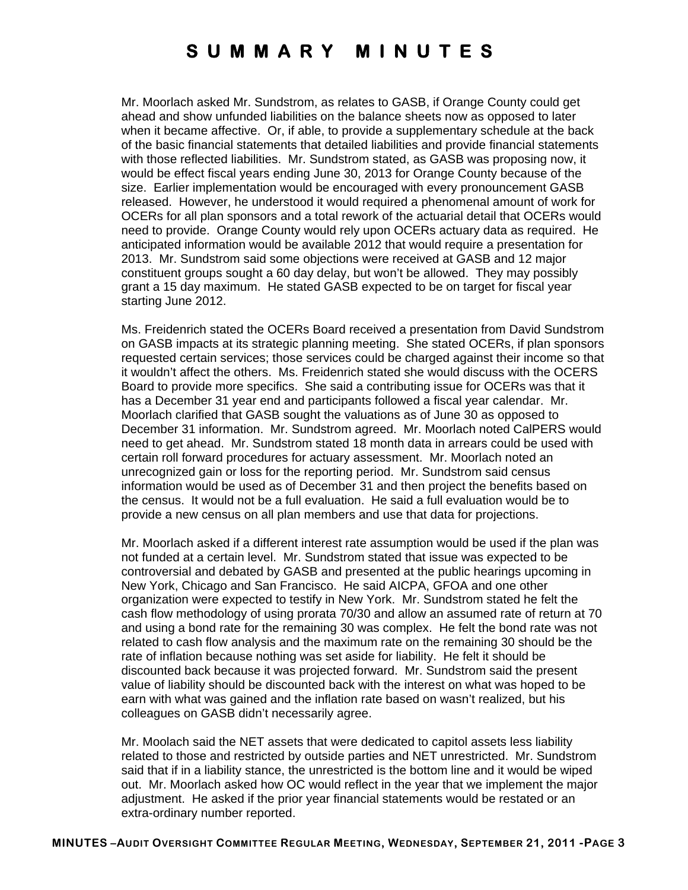Mr. Moorlach asked Mr. Sundstrom, as relates to GASB, if Orange County could get ahead and show unfunded liabilities on the balance sheets now as opposed to later when it became affective. Or, if able, to provide a supplementary schedule at the back of the basic financial statements that detailed liabilities and provide financial statements with those reflected liabilities. Mr. Sundstrom stated, as GASB was proposing now, it would be effect fiscal years ending June 30, 2013 for Orange County because of the size. Earlier implementation would be encouraged with every pronouncement GASB released. However, he understood it would required a phenomenal amount of work for OCERs for all plan sponsors and a total rework of the actuarial detail that OCERs would need to provide. Orange County would rely upon OCERs actuary data as required. He anticipated information would be available 2012 that would require a presentation for 2013. Mr. Sundstrom said some objections were received at GASB and 12 major constituent groups sought a 60 day delay, but won't be allowed. They may possibly grant a 15 day maximum. He stated GASB expected to be on target for fiscal year starting June 2012.

Ms. Freidenrich stated the OCERs Board received a presentation from David Sundstrom on GASB impacts at its strategic planning meeting. She stated OCERs, if plan sponsors requested certain services; those services could be charged against their income so that it wouldn't affect the others. Ms. Freidenrich stated she would discuss with the OCERS Board to provide more specifics. She said a contributing issue for OCERs was that it has a December 31 year end and participants followed a fiscal year calendar. Mr. Moorlach clarified that GASB sought the valuations as of June 30 as opposed to December 31 information. Mr. Sundstrom agreed. Mr. Moorlach noted CalPERS would need to get ahead. Mr. Sundstrom stated 18 month data in arrears could be used with certain roll forward procedures for actuary assessment. Mr. Moorlach noted an unrecognized gain or loss for the reporting period. Mr. Sundstrom said census information would be used as of December 31 and then project the benefits based on the census. It would not be a full evaluation. He said a full evaluation would be to provide a new census on all plan members and use that data for projections.

Mr. Moorlach asked if a different interest rate assumption would be used if the plan was not funded at a certain level. Mr. Sundstrom stated that issue was expected to be controversial and debated by GASB and presented at the public hearings upcoming in New York, Chicago and San Francisco. He said AICPA, GFOA and one other organization were expected to testify in New York. Mr. Sundstrom stated he felt the cash flow methodology of using prorata 70/30 and allow an assumed rate of return at 70 and using a bond rate for the remaining 30 was complex. He felt the bond rate was not related to cash flow analysis and the maximum rate on the remaining 30 should be the rate of inflation because nothing was set aside for liability. He felt it should be discounted back because it was projected forward. Mr. Sundstrom said the present value of liability should be discounted back with the interest on what was hoped to be earn with what was gained and the inflation rate based on wasn't realized, but his colleagues on GASB didn't necessarily agree.

Mr. Moolach said the NET assets that were dedicated to capitol assets less liability related to those and restricted by outside parties and NET unrestricted. Mr. Sundstrom said that if in a liability stance, the unrestricted is the bottom line and it would be wiped out. Mr. Moorlach asked how OC would reflect in the year that we implement the major adjustment. He asked if the prior year financial statements would be restated or an extra-ordinary number reported.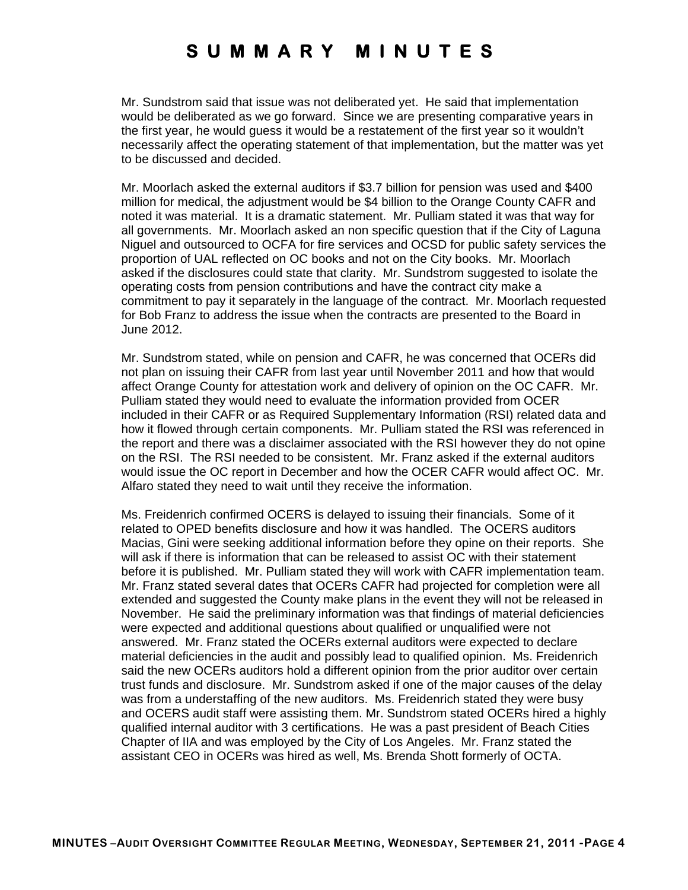Mr. Sundstrom said that issue was not deliberated yet. He said that implementation would be deliberated as we go forward. Since we are presenting comparative years in the first year, he would guess it would be a restatement of the first year so it wouldn't necessarily affect the operating statement of that implementation, but the matter was yet to be discussed and decided.

Mr. Moorlach asked the external auditors if \$3.7 billion for pension was used and \$400 million for medical, the adjustment would be \$4 billion to the Orange County CAFR and noted it was material. It is a dramatic statement. Mr. Pulliam stated it was that way for all governments. Mr. Moorlach asked an non specific question that if the City of Laguna Niguel and outsourced to OCFA for fire services and OCSD for public safety services the proportion of UAL reflected on OC books and not on the City books. Mr. Moorlach asked if the disclosures could state that clarity. Mr. Sundstrom suggested to isolate the operating costs from pension contributions and have the contract city make a commitment to pay it separately in the language of the contract. Mr. Moorlach requested for Bob Franz to address the issue when the contracts are presented to the Board in June 2012.

Mr. Sundstrom stated, while on pension and CAFR, he was concerned that OCERs did not plan on issuing their CAFR from last year until November 2011 and how that would affect Orange County for attestation work and delivery of opinion on the OC CAFR. Mr. Pulliam stated they would need to evaluate the information provided from OCER included in their CAFR or as Required Supplementary Information (RSI) related data and how it flowed through certain components. Mr. Pulliam stated the RSI was referenced in the report and there was a disclaimer associated with the RSI however they do not opine on the RSI. The RSI needed to be consistent. Mr. Franz asked if the external auditors would issue the OC report in December and how the OCER CAFR would affect OC. Mr. Alfaro stated they need to wait until they receive the information.

Ms. Freidenrich confirmed OCERS is delayed to issuing their financials. Some of it related to OPED benefits disclosure and how it was handled. The OCERS auditors Macias, Gini were seeking additional information before they opine on their reports. She will ask if there is information that can be released to assist OC with their statement before it is published. Mr. Pulliam stated they will work with CAFR implementation team. Mr. Franz stated several dates that OCERs CAFR had projected for completion were all extended and suggested the County make plans in the event they will not be released in November. He said the preliminary information was that findings of material deficiencies were expected and additional questions about qualified or unqualified were not answered. Mr. Franz stated the OCERs external auditors were expected to declare material deficiencies in the audit and possibly lead to qualified opinion. Ms. Freidenrich said the new OCERs auditors hold a different opinion from the prior auditor over certain trust funds and disclosure. Mr. Sundstrom asked if one of the major causes of the delay was from a understaffing of the new auditors. Ms. Freidenrich stated they were busy and OCERS audit staff were assisting them. Mr. Sundstrom stated OCERs hired a highly qualified internal auditor with 3 certifications. He was a past president of Beach Cities Chapter of IIA and was employed by the City of Los Angeles. Mr. Franz stated the assistant CEO in OCERs was hired as well, Ms. Brenda Shott formerly of OCTA.